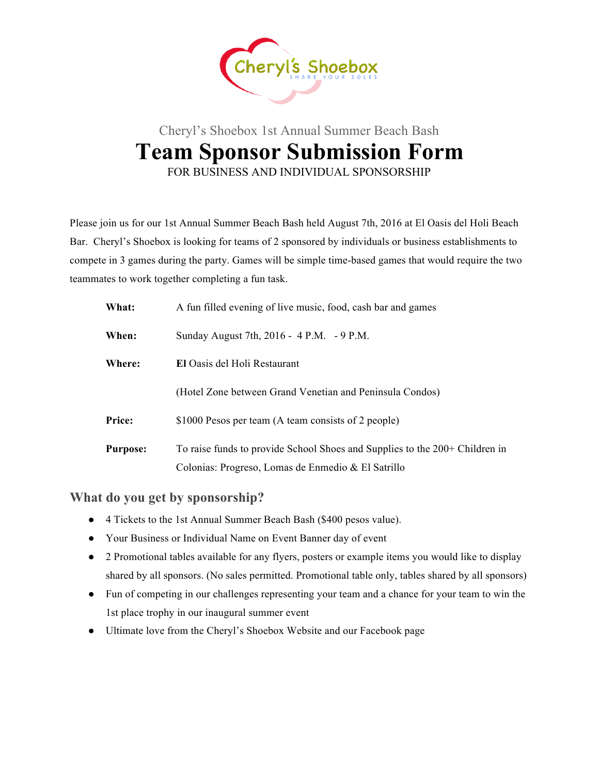

## Cheryl's Shoebox 1st Annual Summer Beach Bash **Team Sponsor Submission Form** FOR BUSINESS AND INDIVIDUAL SPONSORSHIP

Please join us for our 1st Annual Summer Beach Bash held August 7th, 2016 at El Oasis del Holi Beach Bar. Cheryl's Shoebox is looking for teams of 2 sponsored by individuals or business establishments to compete in 3 games during the party. Games will be simple time-based games that would require the two teammates to work together completing a fun task.

| What:           | A fun filled evening of live music, food, cash bar and games                |  |  |
|-----------------|-----------------------------------------------------------------------------|--|--|
| When:           | Sunday August 7th, 2016 - 4 P.M. - 9 P.M.                                   |  |  |
| Where:          | El Oasis del Holi Restaurant                                                |  |  |
|                 | (Hotel Zone between Grand Venetian and Peninsula Condos)                    |  |  |
| Price:          | \$1000 Pesos per team (A team consists of 2 people)                         |  |  |
| <b>Purpose:</b> | To raise funds to provide School Shoes and Supplies to the 200+ Children in |  |  |
|                 | Colonias: Progreso, Lomas de Enmedio & El Satrillo                          |  |  |

**What do you get by sponsorship?** 

- 4 Tickets to the 1st Annual Summer Beach Bash (\$400 pesos value).
- Your Business or Individual Name on Event Banner day of event
- 2 Promotional tables available for any flyers, posters or example items you would like to display shared by all sponsors. (No sales permitted. Promotional table only, tables shared by all sponsors)
- Fun of competing in our challenges representing your team and a chance for your team to win the 1st place trophy in our inaugural summer event
- Ultimate love from the Cheryl's Shoebox Website and our Facebook page